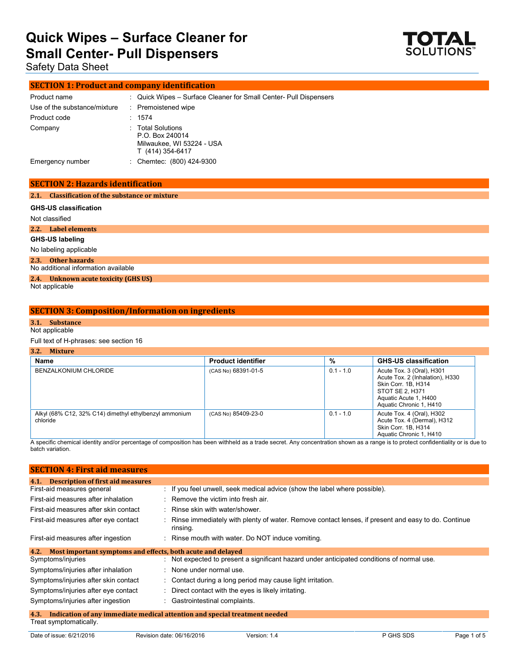

Safety Data Sheet

#### **SECTION 1: Product and company identification**

| Product name                 | : Quick Wipes – Surface Cleaner for Small Center- Pull Dispensers                     |
|------------------------------|---------------------------------------------------------------------------------------|
| Use of the substance/mixture | : Premoistened wipe                                                                   |
| Product code                 | : 1574                                                                                |
| Company                      | : Total Solutions<br>P.O. Box 240014<br>Milwaukee, WI 53224 - USA<br>T (414) 354-6417 |
| Emergency number             | Chemtec: (800) 424-9300                                                               |

#### **SECTION 2: Hazards identification**

#### **2.1. Classification of the substance or mixture**

| <b>GHS-US classification</b>                              |
|-----------------------------------------------------------|
| Not classified                                            |
| 2.2. Label elements                                       |
| GHS-US labeling                                           |
| No labeling applicable                                    |
| 2.3. Other hazards<br>No additional information available |
| 2.4. Unknown acute toxicity (GHS US)                      |
| Not applicable                                            |

#### **SECTION 3: Composition/Information on ingredients**

#### **3.1. Substance**

#### Not applicable

Full text of H-phrases: see section 16

| 1.4.11                                                             |                           |             |                                                                                                                                                            |  |  |
|--------------------------------------------------------------------|---------------------------|-------------|------------------------------------------------------------------------------------------------------------------------------------------------------------|--|--|
| Name                                                               | <b>Product identifier</b> | %           | <b>GHS-US classification</b>                                                                                                                               |  |  |
| BENZALKONIUM CHLORIDE                                              | (CAS No) 68391-01-5       | $0.1 - 1.0$ | Acute Tox. 3 (Oral), H301<br>Acute Tox. 2 (Inhalation), H330<br>Skin Corr. 1B, H314<br>STOT SE 2, H371<br>Aquatic Acute 1, H400<br>Aquatic Chronic 1, H410 |  |  |
| Alkyl (68% C12, 32% C14) dimethyl ethylbenzyl ammonium<br>chloride | (CAS No) 85409-23-0       | $0.1 - 1.0$ | Acute Tox. 4 (Oral), H302<br>Acute Tox. 4 (Dermal), H312<br>Skin Corr. 1B, H314<br>Aquatic Chronic 1, H410                                                 |  |  |

A specific chemical identity and/or percentage of composition has been withheld as a trade secret. Any concentration shown as a range is to protect confidentiality or is due to batch variation.

| <b>SECTION 4: First aid measures</b>                                               |                                                                                                                |  |  |
|------------------------------------------------------------------------------------|----------------------------------------------------------------------------------------------------------------|--|--|
| <b>Description of first aid measures</b><br>4.1.                                   |                                                                                                                |  |  |
| First-aid measures general                                                         | $\therefore$ If you feel unwell, seek medical advice (show the label where possible).                          |  |  |
| First-aid measures after inhalation                                                | $\therefore$ Remove the victim into fresh air.                                                                 |  |  |
| First-aid measures after skin contact                                              | : Rinse skin with water/shower.                                                                                |  |  |
| First-aid measures after eye contact                                               | Rinse immediately with plenty of water. Remove contact lenses, if present and easy to do. Continue<br>rinsing. |  |  |
| First-aid measures after ingestion                                                 | : Rinse mouth with water. Do NOT induce vomiting.                                                              |  |  |
| Most important symptoms and effects, both acute and delayed<br>4.2.                |                                                                                                                |  |  |
| Symptoms/injuries                                                                  | : Not expected to present a significant hazard under anticipated conditions of normal use.                     |  |  |
| Symptoms/injuries after inhalation                                                 | : None under normal use.                                                                                       |  |  |
| Symptoms/injuries after skin contact                                               | : Contact during a long period may cause light irritation.                                                     |  |  |
| Symptoms/injuries after eye contact                                                | : Direct contact with the eyes is likely irritating.                                                           |  |  |
| Symptoms/injuries after ingestion                                                  | : Gastrointestinal complaints.                                                                                 |  |  |
| Indication of any immediate medical attention and special treatment needed<br>4.3. |                                                                                                                |  |  |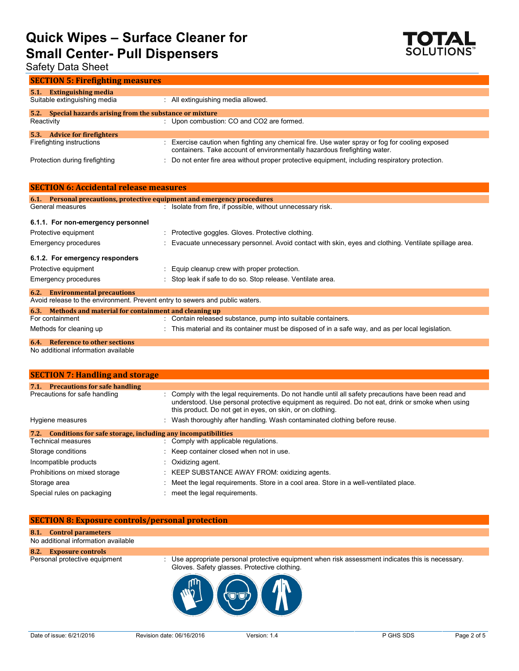

## Safety Data Sheet

| <b>SECTION 5: Firefighting measures</b>                           |                                                                                                                                                                           |  |  |  |
|-------------------------------------------------------------------|---------------------------------------------------------------------------------------------------------------------------------------------------------------------------|--|--|--|
| <b>Extinguishing media</b><br>5.1<br>Suitable extinguishing media | : All extinguishing media allowed.                                                                                                                                        |  |  |  |
| 5.2. Special hazards arising from the substance or mixture        |                                                                                                                                                                           |  |  |  |
| Reactivity                                                        | : Upon combustion: CO and CO2 are formed.                                                                                                                                 |  |  |  |
| <b>Advice for firefighters</b><br>5.3.                            |                                                                                                                                                                           |  |  |  |
| Firefighting instructions                                         | Exercise caution when fighting any chemical fire. Use water spray or fog for cooling exposed<br>containers. Take account of environmentally hazardous firefighting water. |  |  |  |
| Protection during firefighting                                    | Do not enter fire area without proper protective equipment, including respiratory protection.                                                                             |  |  |  |

| <b>SECTION 6: Accidental release measures</b>                                |                                                                                                        |  |  |  |  |
|------------------------------------------------------------------------------|--------------------------------------------------------------------------------------------------------|--|--|--|--|
| 6.1. Personal precautions, protective equipment and emergency procedures     |                                                                                                        |  |  |  |  |
| General measures                                                             | : Isolate from fire, if possible, without unnecessary risk.                                            |  |  |  |  |
| 6.1.1. For non-emergency personnel                                           |                                                                                                        |  |  |  |  |
| Protective equipment                                                         | : Protective goggles. Gloves. Protective clothing.                                                     |  |  |  |  |
| Emergency procedures                                                         | : Evacuate unnecessary personnel. Avoid contact with skin, eyes and clothing. Ventilate spillage area. |  |  |  |  |
| 6.1.2. For emergency responders                                              |                                                                                                        |  |  |  |  |
| Protective equipment                                                         | : Equip cleanup crew with proper protection.                                                           |  |  |  |  |
| Emergency procedures                                                         | : Stop leak if safe to do so. Stop release. Ventilate area.                                            |  |  |  |  |
| <b>6.2.</b> Environmental precautions                                        |                                                                                                        |  |  |  |  |
| Avoid release to the environment. Prevent entry to sewers and public waters. |                                                                                                        |  |  |  |  |
|                                                                              | 6.3. Methods and material for containment and cleaning up                                              |  |  |  |  |
| For containment                                                              | : Contain released substance, pump into suitable containers.                                           |  |  |  |  |
| Methods for cleaning up                                                      | : This material and its container must be disposed of in a safe way, and as per local legislation.     |  |  |  |  |
| <b>6.4.</b> Reference to other sections                                      |                                                                                                        |  |  |  |  |

No additional information available

| <b>SECTION 7: Handling and storage</b>                            |  |                                                                                                                                                                                                                                                                       |  |
|-------------------------------------------------------------------|--|-----------------------------------------------------------------------------------------------------------------------------------------------------------------------------------------------------------------------------------------------------------------------|--|
| 7.1.<br><b>Precautions for safe handling</b>                      |  |                                                                                                                                                                                                                                                                       |  |
| Precautions for safe handling                                     |  | : Comply with the legal reguirements. Do not handle until all safety precautions have been read and<br>understood. Use personal protective equipment as required. Do not eat, drink or smoke when using<br>this product. Do not get in eyes, on skin, or on clothing. |  |
| Hygiene measures                                                  |  | : Wash thoroughly after handling. Wash contaminated clothing before reuse.                                                                                                                                                                                            |  |
| 7.2. Conditions for safe storage, including any incompatibilities |  |                                                                                                                                                                                                                                                                       |  |
| Technical measures                                                |  | : Comply with applicable regulations.                                                                                                                                                                                                                                 |  |
| Storage conditions                                                |  | : Keep container closed when not in use.                                                                                                                                                                                                                              |  |
| Incompatible products                                             |  | $\therefore$ Oxidizing agent.                                                                                                                                                                                                                                         |  |
| Prohibitions on mixed storage                                     |  | : KEEP SUBSTANCE AWAY FROM: oxidizing agents.                                                                                                                                                                                                                         |  |
| Storage area                                                      |  | Meet the legal requirements. Store in a cool area. Store in a well-ventilated place.                                                                                                                                                                                  |  |
| Special rules on packaging                                        |  | meet the legal requirements.                                                                                                                                                                                                                                          |  |

#### **SECTION 8: Exposure controls/personal protection**

#### **8.1. Control parameters**

#### No additional information available

**8.2. Exposure controls**

Personal protective equipment : Use appropriate personal protective equipment when risk assessment indicates this is necessary. Gloves. Safety glasses. Protective clothing.

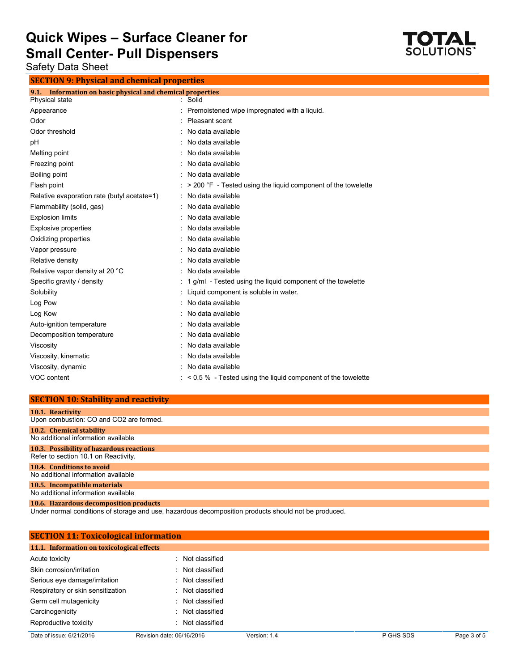

Safety Data Sheet

**SECTION 9: Physical and chemical properties**

| Information on basic physical and chemical properties                  |
|------------------------------------------------------------------------|
| : Solid                                                                |
| Premoistened wipe impregnated with a liquid.                           |
| Pleasant scent                                                         |
| No data available                                                      |
| No data available                                                      |
| No data available                                                      |
| : No data available                                                    |
| No data available                                                      |
| > 200 °F - Tested using the liquid component of the towelette          |
| : No data available                                                    |
| No data available                                                      |
| No data available                                                      |
| No data available                                                      |
| No data available                                                      |
| No data available                                                      |
| No data available                                                      |
| No data available                                                      |
| 1 g/ml - Tested using the liquid component of the towelette            |
| Liquid component is soluble in water.                                  |
| No data available                                                      |
| No data available                                                      |
| No data available                                                      |
| No data available                                                      |
| No data available                                                      |
| No data available                                                      |
| : No data available                                                    |
| $\approx$ < 0.5 % - Tested using the liquid component of the towelette |
|                                                                        |

#### **SECTION 10: Stability and reactivity**

| 10.1. Reactivity                         |
|------------------------------------------|
| Upon combustion: CO and CO2 are formed.  |
| 10.2. Chemical stability                 |
| No additional information available      |
| 10.3. Possibility of hazardous reactions |
| Refer to section 10.1 on Reactivity.     |
| 10.4. Conditions to avoid                |
| No additional information available      |
| 10.5. Incompatible materials             |
| No additional information available      |
| 10.6. Hazardous decomposition products   |

Under normal conditions of storage and use, hazardous decomposition products should not be produced.

| <b>SECTION 11: Toxicological information</b> |                           |              |           |             |  |  |
|----------------------------------------------|---------------------------|--------------|-----------|-------------|--|--|
| 11.1. Information on toxicological effects   |                           |              |           |             |  |  |
| Acute toxicity                               | : Not classified          |              |           |             |  |  |
| Skin corrosion/irritation                    | : Not classified          |              |           |             |  |  |
| Serious eye damage/irritation                | : Not classified          |              |           |             |  |  |
| Respiratory or skin sensitization            | : Not classified          |              |           |             |  |  |
| Germ cell mutagenicity                       | : Not classified          |              |           |             |  |  |
| Carcinogenicity                              | : Not classified          |              |           |             |  |  |
| Reproductive toxicity                        | : Not classified          |              |           |             |  |  |
| Date of issue: 6/21/2016                     | Revision date: 06/16/2016 | Version: 1.4 | P GHS SDS | Page 3 of 5 |  |  |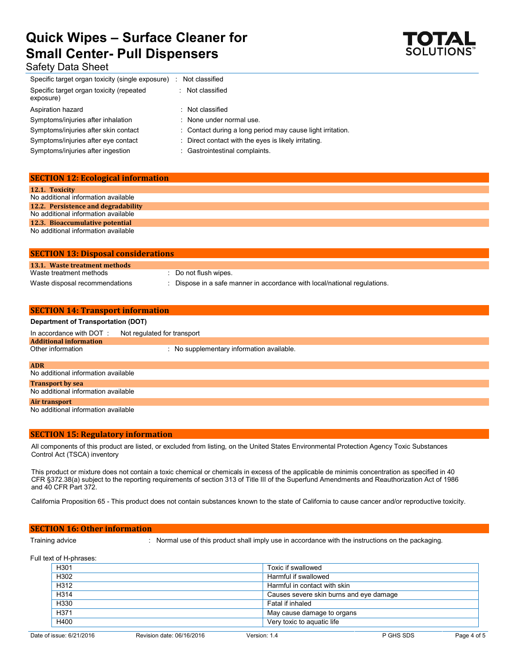

## Safety Data Sheet

| Not classified                                             |  |
|------------------------------------------------------------|--|
| : Not classified                                           |  |
| : Not classified                                           |  |
| : None under normal use.                                   |  |
| : Contact during a long period may cause light irritation. |  |
| : Direct contact with the eyes is likely irritating.       |  |
| : Gastrointestinal complaints.                             |  |
|                                                            |  |

| <b>SECTION 12: Ecological information</b> |
|-------------------------------------------|
| 12.1. Toxicity                            |
| No additional information available       |
| 12.2. Persistence and degradability       |
| No additional information available       |
| 12.3. Bioaccumulative potential           |
| No additional information available       |

| <b>SECTION 13: Disposal considerations</b> |                                                                           |
|--------------------------------------------|---------------------------------------------------------------------------|
| 13.1. Waste treatment methods              |                                                                           |
| Waste treatment methods                    | $\cdot$ Do not flush wipes.                                               |
| Waste disposal recommendations             | : Dispose in a safe manner in accordance with local/national regulations. |

| <b>SECTION 14: Transport information</b>  |                                           |  |  |  |
|-------------------------------------------|-------------------------------------------|--|--|--|
| <b>Department of Transportation (DOT)</b> |                                           |  |  |  |
| In accordance with DOT:                   | Not regulated for transport               |  |  |  |
| <b>Additional information</b>             |                                           |  |  |  |
| Other information                         | : No supplementary information available. |  |  |  |
|                                           |                                           |  |  |  |
| <b>ADR</b>                                |                                           |  |  |  |
| No additional information available       |                                           |  |  |  |
| <b>Transport by sea</b>                   |                                           |  |  |  |
| No additional information available       |                                           |  |  |  |
| Air transport                             |                                           |  |  |  |
| No additional information available       |                                           |  |  |  |

#### **SECTION 15: Regulatory information**

All components of this product are listed, or excluded from listing, on the United States Environmental Protection Agency Toxic Substances Control Act (TSCA) inventory

This product or mixture does not contain a toxic chemical or chemicals in excess of the applicable de minimis concentration as specified in 40 CFR §372.38(a) subject to the reporting requirements of section 313 of Title III of the Superfund Amendments and Reauthorization Act of 1986 and 40 CFR Part 372.

California Proposition 65 - This product does not contain substances known to the state of California to cause cancer and/or reproductive toxicity.

#### **SECTION 16: Other information**

Training advice : Normal use of this product shall imply use in accordance with the instructions on the packaging.

Full text of H-phrases:

| H301 | Toxic if swallowed                      |
|------|-----------------------------------------|
| H302 | Harmful if swallowed                    |
| H312 | Harmful in contact with skin            |
| H314 | Causes severe skin burns and eye damage |
| H330 | Fatal if inhaled                        |
| H371 | May cause damage to organs              |
| H400 | Very toxic to aquatic life              |